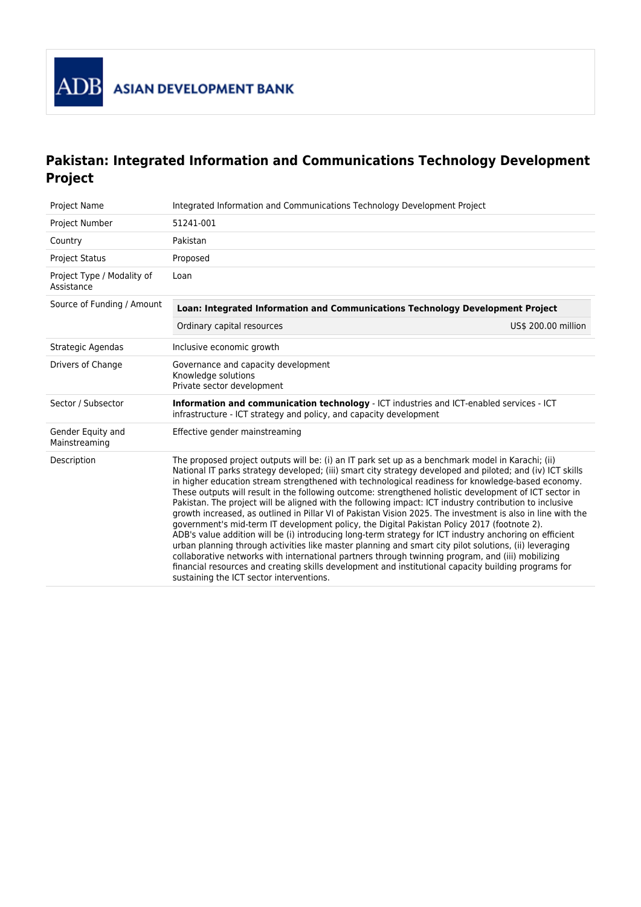

## **Pakistan: Integrated Information and Communications Technology Development Project**

| Project Name                             | Integrated Information and Communications Technology Development Project                                                                                                                                                                                                                                                                                                                                                                                                                                                                                                                                                                                                                                                                                                                                                                                                                                                                                                                                                                                                                                                                                                                                                              |  |  |
|------------------------------------------|---------------------------------------------------------------------------------------------------------------------------------------------------------------------------------------------------------------------------------------------------------------------------------------------------------------------------------------------------------------------------------------------------------------------------------------------------------------------------------------------------------------------------------------------------------------------------------------------------------------------------------------------------------------------------------------------------------------------------------------------------------------------------------------------------------------------------------------------------------------------------------------------------------------------------------------------------------------------------------------------------------------------------------------------------------------------------------------------------------------------------------------------------------------------------------------------------------------------------------------|--|--|
| Project Number                           | 51241-001                                                                                                                                                                                                                                                                                                                                                                                                                                                                                                                                                                                                                                                                                                                                                                                                                                                                                                                                                                                                                                                                                                                                                                                                                             |  |  |
| Country                                  | Pakistan                                                                                                                                                                                                                                                                                                                                                                                                                                                                                                                                                                                                                                                                                                                                                                                                                                                                                                                                                                                                                                                                                                                                                                                                                              |  |  |
| <b>Project Status</b>                    | Proposed                                                                                                                                                                                                                                                                                                                                                                                                                                                                                                                                                                                                                                                                                                                                                                                                                                                                                                                                                                                                                                                                                                                                                                                                                              |  |  |
| Project Type / Modality of<br>Assistance | Loan                                                                                                                                                                                                                                                                                                                                                                                                                                                                                                                                                                                                                                                                                                                                                                                                                                                                                                                                                                                                                                                                                                                                                                                                                                  |  |  |
| Source of Funding / Amount               | Loan: Integrated Information and Communications Technology Development Project                                                                                                                                                                                                                                                                                                                                                                                                                                                                                                                                                                                                                                                                                                                                                                                                                                                                                                                                                                                                                                                                                                                                                        |  |  |
|                                          | Ordinary capital resources<br>US\$ 200.00 million                                                                                                                                                                                                                                                                                                                                                                                                                                                                                                                                                                                                                                                                                                                                                                                                                                                                                                                                                                                                                                                                                                                                                                                     |  |  |
| Strategic Agendas                        | Inclusive economic growth                                                                                                                                                                                                                                                                                                                                                                                                                                                                                                                                                                                                                                                                                                                                                                                                                                                                                                                                                                                                                                                                                                                                                                                                             |  |  |
| Drivers of Change                        | Governance and capacity development<br>Knowledge solutions<br>Private sector development                                                                                                                                                                                                                                                                                                                                                                                                                                                                                                                                                                                                                                                                                                                                                                                                                                                                                                                                                                                                                                                                                                                                              |  |  |
| Sector / Subsector                       | Information and communication technology - ICT industries and ICT-enabled services - ICT<br>infrastructure - ICT strategy and policy, and capacity development                                                                                                                                                                                                                                                                                                                                                                                                                                                                                                                                                                                                                                                                                                                                                                                                                                                                                                                                                                                                                                                                        |  |  |
| Gender Equity and<br>Mainstreaming       | Effective gender mainstreaming                                                                                                                                                                                                                                                                                                                                                                                                                                                                                                                                                                                                                                                                                                                                                                                                                                                                                                                                                                                                                                                                                                                                                                                                        |  |  |
| Description                              | The proposed project outputs will be: (i) an IT park set up as a benchmark model in Karachi; (ii)<br>National IT parks strategy developed; (iii) smart city strategy developed and piloted; and (iv) ICT skills<br>in higher education stream strengthened with technological readiness for knowledge-based economy.<br>These outputs will result in the following outcome: strengthened holistic development of ICT sector in<br>Pakistan. The project will be aligned with the following impact: ICT industry contribution to inclusive<br>growth increased, as outlined in Pillar VI of Pakistan Vision 2025. The investment is also in line with the<br>government's mid-term IT development policy, the Digital Pakistan Policy 2017 (footnote 2).<br>ADB's value addition will be (i) introducing long-term strategy for ICT industry anchoring on efficient<br>urban planning through activities like master planning and smart city pilot solutions, (ii) leveraging<br>collaborative networks with international partners through twinning program, and (iii) mobilizing<br>financial resources and creating skills development and institutional capacity building programs for<br>sustaining the ICT sector interventions. |  |  |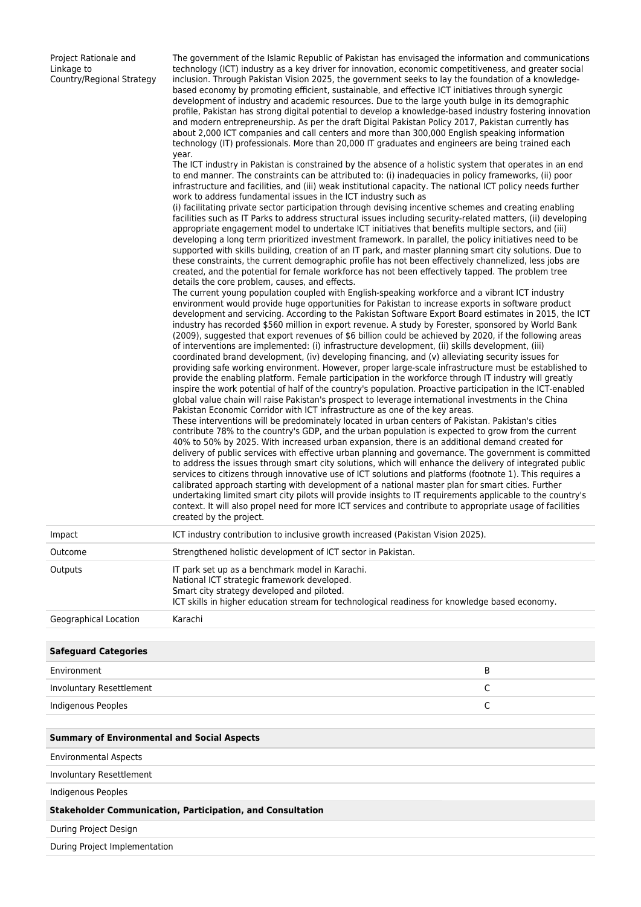Project Rationale and Linkage to Country/Regional Strategy

The government of the Islamic Republic of Pakistan has envisaged the information and communications technology (ICT) industry as a key driver for innovation, economic competitiveness, and greater social inclusion. Through Pakistan Vision 2025, the government seeks to lay the foundation of a knowledgebased economy by promoting efficient, sustainable, and effective ICT initiatives through synergic development of industry and academic resources. Due to the large youth bulge in its demographic profile, Pakistan has strong digital potential to develop a knowledge-based industry fostering innovation and modern entrepreneurship. As per the draft Digital Pakistan Policy 2017, Pakistan currently has about 2,000 ICT companies and call centers and more than 300,000 English speaking information technology (IT) professionals. More than 20,000 IT graduates and engineers are being trained each year.

The ICT industry in Pakistan is constrained by the absence of a holistic system that operates in an end to end manner. The constraints can be attributed to: (i) inadequacies in policy frameworks, (ii) poor infrastructure and facilities, and (iii) weak institutional capacity. The national ICT policy needs further work to address fundamental issues in the ICT industry such as

(i) facilitating private sector participation through devising incentive schemes and creating enabling facilities such as IT Parks to address structural issues including security-related matters, (ii) developing appropriate engagement model to undertake ICT initiatives that benefits multiple sectors, and (iii) developing a long term prioritized investment framework. In parallel, the policy initiatives need to be supported with skills building, creation of an IT park, and master planning smart city solutions. Due to these constraints, the current demographic profile has not been effectively channelized, less jobs are created, and the potential for female workforce has not been effectively tapped. The problem tree details the core problem, causes, and effects.

The current young population coupled with English-speaking workforce and a vibrant ICT industry environment would provide huge opportunities for Pakistan to increase exports in software product development and servicing. According to the Pakistan Software Export Board estimates in 2015, the ICT industry has recorded \$560 million in export revenue. A study by Forester, sponsored by World Bank (2009), suggested that export revenues of \$6 billion could be achieved by 2020, if the following areas of interventions are implemented: (i) infrastructure development, (ii) skills development, (iii) coordinated brand development, (iv) developing financing, and (v) alleviating security issues for providing safe working environment. However, proper large-scale infrastructure must be established to provide the enabling platform. Female participation in the workforce through IT industry will greatly inspire the work potential of half of the country's population. Proactive participation in the ICT-enabled global value chain will raise Pakistan's prospect to leverage international investments in the China Pakistan Economic Corridor with ICT infrastructure as one of the key areas.

These interventions will be predominately located in urban centers of Pakistan. Pakistan's cities contribute 78% to the country's GDP, and the urban population is expected to grow from the current 40% to 50% by 2025. With increased urban expansion, there is an additional demand created for delivery of public services with effective urban planning and governance. The government is committed to address the issues through smart city solutions, which will enhance the delivery of integrated public services to citizens through innovative use of ICT solutions and platforms (footnote 1). This requires a calibrated approach starting with development of a national master plan for smart cities. Further undertaking limited smart city pilots will provide insights to IT requirements applicable to the country's context. It will also propel need for more ICT services and contribute to appropriate usage of facilities created by the project.

| Impact                | ICT industry contribution to inclusive growth increased (Pakistan Vision 2025).                                                                                                                                                                |  |  |
|-----------------------|------------------------------------------------------------------------------------------------------------------------------------------------------------------------------------------------------------------------------------------------|--|--|
| Outcome               | Strengthened holistic development of ICT sector in Pakistan.                                                                                                                                                                                   |  |  |
| Outputs               | IT park set up as a benchmark model in Karachi.<br>National ICT strategic framework developed.<br>Smart city strategy developed and piloted.<br>ICT skills in higher education stream for technological readiness for knowledge based economy. |  |  |
| Geographical Location | Karachi                                                                                                                                                                                                                                        |  |  |

## **Safeguard Categories**

| Environment              |   |
|--------------------------|---|
| Involuntary Resettlement |   |
| Indigenous Peoples       | ๛ |

## **Summary of Environmental and Social Aspects**

Environmental Aspects

Involuntary Resettlement

Indigenous Peoples

**Stakeholder Communication, Participation, and Consultation**

During Project Design

During Project Implementation